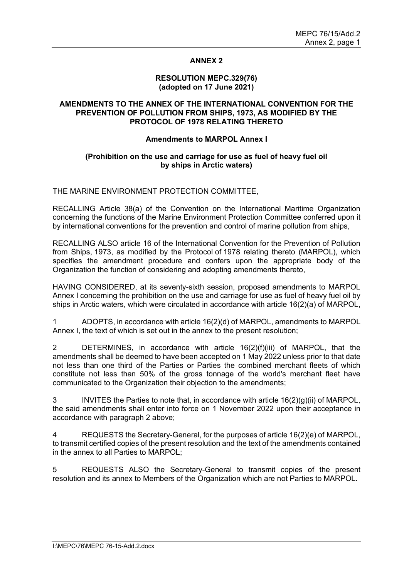### **ANNEX 2**

#### **RESOLUTION MEPC.329(76) (adopted on 17 June 2021)**

### **AMENDMENTS TO THE ANNEX OF THE INTERNATIONAL CONVENTION FOR THE PREVENTION OF POLLUTION FROM SHIPS, 1973, AS MODIFIED BY THE PROTOCOL OF 1978 RELATING THERETO**

### **Amendments to MARPOL Annex I**

### **(Prohibition on the use and carriage for use as fuel of heavy fuel oil by ships in Arctic waters)**

THE MARINE ENVIRONMENT PROTECTION COMMITTEE,

RECALLING Article 38(a) of the Convention on the International Maritime Organization concerning the functions of the Marine Environment Protection Committee conferred upon it by international conventions for the prevention and control of marine pollution from ships,

RECALLING ALSO article 16 of the International Convention for the Prevention of Pollution from Ships, 1973, as modified by the Protocol of 1978 relating thereto (MARPOL), which specifies the amendment procedure and confers upon the appropriate body of the Organization the function of considering and adopting amendments thereto,

HAVING CONSIDERED, at its seventy-sixth session, proposed amendments to MARPOL Annex I concerning the prohibition on the use and carriage for use as fuel of heavy fuel oil by ships in Arctic waters, which were circulated in accordance with article 16(2)(a) of MARPOL,

1 ADOPTS, in accordance with article 16(2)(d) of MARPOL, amendments to MARPOL Annex I, the text of which is set out in the annex to the present resolution;

2 DETERMINES, in accordance with article 16(2)(f)(iii) of MARPOL, that the amendments shall be deemed to have been accepted on 1 May 2022 unless prior to that date not less than one third of the Parties or Parties the combined merchant fleets of which constitute not less than 50% of the gross tonnage of the world's merchant fleet have communicated to the Organization their objection to the amendments;

3 INVITES the Parties to note that, in accordance with article 16(2)(g)(ii) of MARPOL, the said amendments shall enter into force on 1 November 2022 upon their acceptance in accordance with paragraph 2 above;

4 REQUESTS the Secretary-General, for the purposes of article 16(2)(e) of MARPOL, to transmit certified copies of the present resolution and the text of the amendments contained in the annex to all Parties to MARPOL;

5 REQUESTS ALSO the Secretary-General to transmit copies of the present resolution and its annex to Members of the Organization which are not Parties to MARPOL.